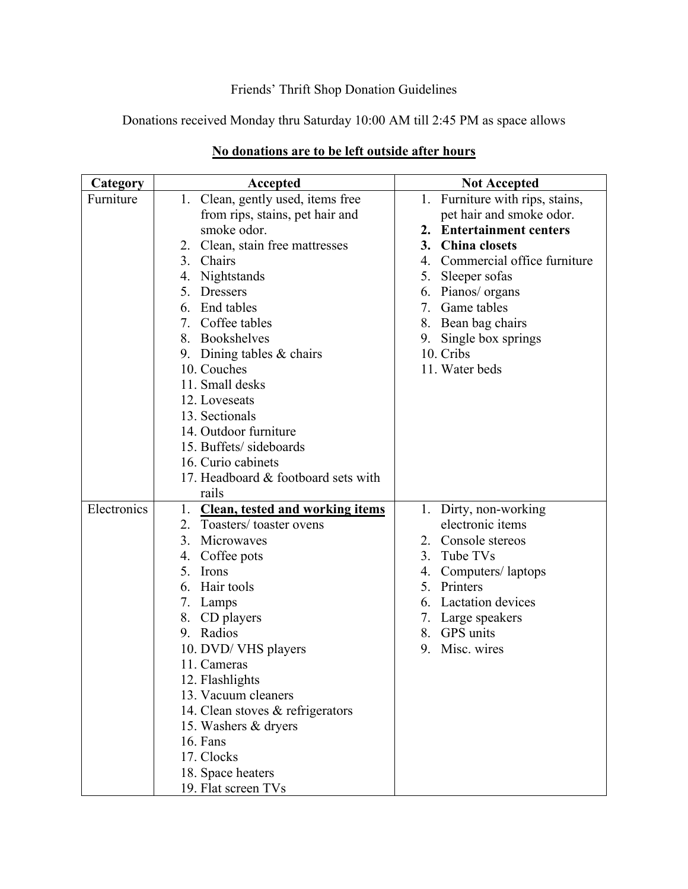## Friends' Thrift Shop Donation Guidelines

Donations received Monday thru Saturday 10:00 AM till 2:45 PM as space allows

| Category    | Accepted                                     | <b>Not Accepted</b>             |
|-------------|----------------------------------------------|---------------------------------|
| Furniture   | 1. Clean, gently used, items free            | 1. Furniture with rips, stains, |
|             | from rips, stains, pet hair and              | pet hair and smoke odor.        |
|             | smoke odor.                                  | 2. Entertainment centers        |
|             | 2. Clean, stain free mattresses              | <b>China</b> closets<br>3.      |
|             | 3. Chairs                                    | 4. Commercial office furniture  |
|             | 4. Nightstands                               | Sleeper sofas<br>5.             |
|             | 5.<br><b>Dressers</b>                        | 6. Pianos/ organs               |
|             | End tables<br>6.                             | 7.<br>Game tables               |
|             | Coffee tables<br>7.                          | 8. Bean bag chairs              |
|             | 8. Bookshelves                               | 9. Single box springs           |
|             | 9. Dining tables $&$ chairs                  | 10. Cribs                       |
|             | 10. Couches                                  | 11. Water beds                  |
|             | 11. Small desks                              |                                 |
|             | 12. Loveseats                                |                                 |
|             | 13. Sectionals                               |                                 |
|             | 14. Outdoor furniture                        |                                 |
|             | 15. Buffets/sideboards                       |                                 |
|             | 16. Curio cabinets                           |                                 |
|             | 17. Headboard & footboard sets with          |                                 |
|             | rails                                        |                                 |
| Electronics | <b>Clean, tested and working items</b><br>1. | 1. Dirty, non-working           |
|             | Toasters/toaster ovens<br>2.                 | electronic items                |
|             | 3.<br>Microwaves                             | 2. Console stereos              |
|             | Coffee pots<br>4.                            | Tube TVs<br>3.                  |
|             | 5.<br>Irons                                  | 4. Computers/laptops            |
|             | Hair tools<br>6.                             | 5. Printers                     |
|             | 7. Lamps                                     | <b>Lactation</b> devices<br>6.  |
|             | 8.<br>CD players                             | 7. Large speakers               |
|             | 9. Radios                                    | 8. GPS units                    |
|             | 10. DVD/VHS players                          | Misc. wires<br>9.               |
|             | 11. Cameras                                  |                                 |
|             | 12. Flashlights                              |                                 |
|             | 13. Vacuum cleaners                          |                                 |
|             | 14. Clean stoves & refrigerators             |                                 |
|             | 15. Washers & dryers                         |                                 |
|             | 16. Fans                                     |                                 |
|             | 17. Clocks                                   |                                 |
|             | 18. Space heaters                            |                                 |
|             | 19. Flat screen TVs                          |                                 |

## **No donations are to be left outside after hours**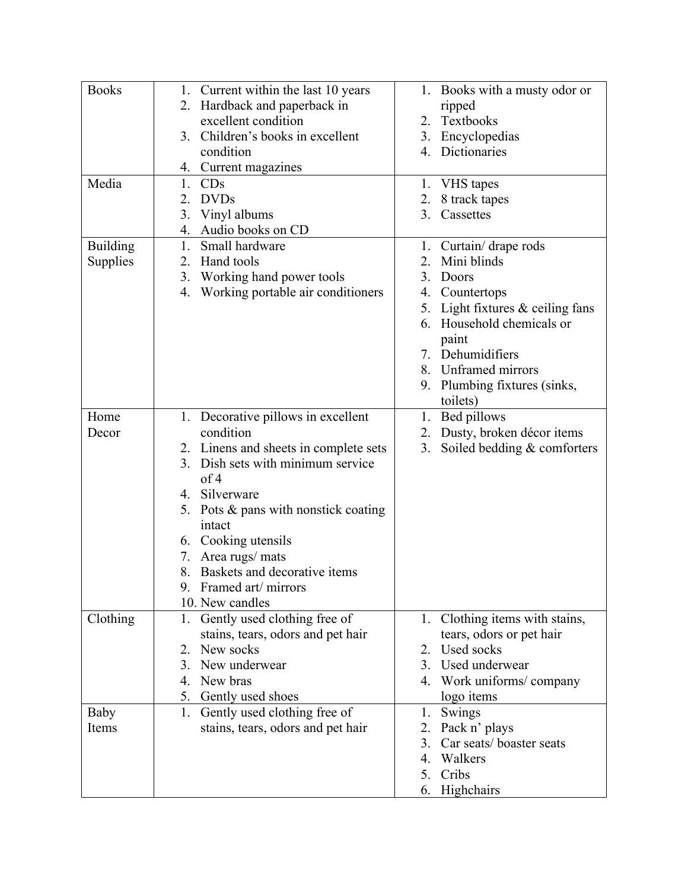| <b>Books</b>    | 1. Current within the last 10 years       | 1. Books with a musty odor or                        |
|-----------------|-------------------------------------------|------------------------------------------------------|
|                 | 2. Hardback and paperback in              | ripped                                               |
|                 | excellent condition                       | Textbooks<br>2.                                      |
|                 | Children's books in excellent<br>3.       | Encyclopedias<br>3.                                  |
|                 | condition                                 | 4. Dictionaries                                      |
|                 | 4. Current magazines                      |                                                      |
| Media           | CDs<br>1.                                 | VHS tapes<br>1.                                      |
|                 | <b>DVDs</b><br>2.                         | 8 track tapes<br>2.                                  |
|                 | Vinyl albums<br>3.                        | Cassettes<br>3.                                      |
|                 | 4.                                        |                                                      |
|                 | Audio books on CD<br>Small hardware<br>1. |                                                      |
| <b>Building</b> |                                           | 1. Curtain/drape rods                                |
| Supplies        | Hand tools<br>2.                          | Mini blinds                                          |
|                 | Working hand power tools<br>3.            | 3.<br>Doors                                          |
|                 | Working portable air conditioners<br>4.   | Countertops<br>4.                                    |
|                 |                                           | Light fixtures $&$ ceiling fans<br>5.                |
|                 |                                           | Household chemicals or<br>6.                         |
|                 |                                           | paint                                                |
|                 |                                           | 7. Dehumidifiers                                     |
|                 |                                           | 8. Unframed mirrors                                  |
|                 |                                           | 9. Plumbing fixtures (sinks,                         |
|                 |                                           | toilets)                                             |
| Home            | Decorative pillows in excellent<br>1.     | Bed pillows<br>1.                                    |
| Decor           | condition                                 | Dusty, broken décor items<br>2.                      |
|                 | 2. Linens and sheets in complete sets     | Soiled bedding & comforters<br>3.                    |
|                 | 3. Dish sets with minimum service         |                                                      |
|                 | of 4                                      |                                                      |
|                 | 4. Silverware                             |                                                      |
|                 | 5. Pots & pans with nonstick coating      |                                                      |
|                 | intact                                    |                                                      |
|                 | 6. Cooking utensils                       |                                                      |
|                 | 7. Area rugs/ mats                        |                                                      |
|                 | 8. Baskets and decorative items           |                                                      |
|                 | Framed art/ mirrors<br>9.                 |                                                      |
|                 | 10. New candles                           |                                                      |
| Clothing        | Gently used clothing free of<br>1.        | 1. Clothing items with stains,                       |
|                 | stains, tears, odors and pet hair         | tears, odors or pet hair                             |
|                 | New socks<br>2.                           | Used socks<br>2.                                     |
|                 | New underwear<br>3.                       | 3. Used underwear                                    |
|                 | New bras<br>4.                            | 4. Work uniforms/company                             |
|                 | Gently used shoes<br>5.                   | logo items                                           |
| Baby            | Gently used clothing free of<br>1.        | Swings<br>1.                                         |
| Items           |                                           |                                                      |
|                 | stains, tears, odors and pet hair         | Pack n' plays<br>2.<br>Car seats/boaster seats<br>3. |
|                 |                                           |                                                      |
|                 |                                           | Walkers<br>4.                                        |
|                 |                                           | Cribs<br>5.                                          |
|                 |                                           | Highchairs<br>6.                                     |